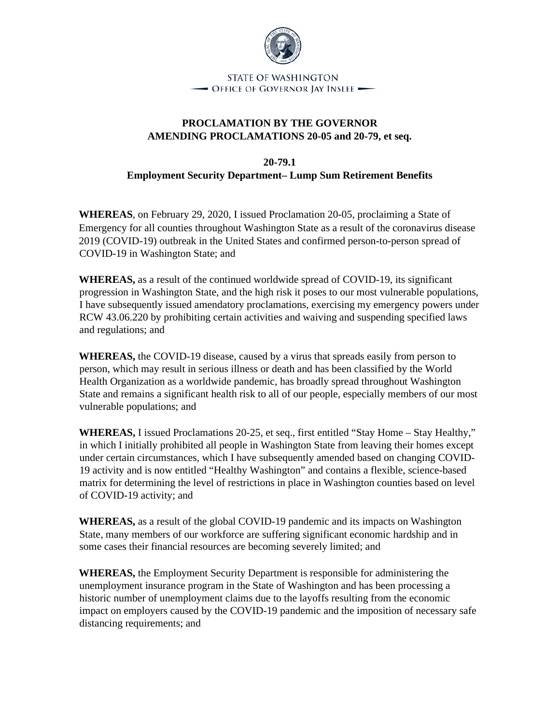

**STATE OF WASHINGTON** - Office of Governor Jay Inslee -

## **PROCLAMATION BY THE GOVERNOR AMENDING PROCLAMATIONS 20-05 and 20-79, et seq.**

**20-79.1**

**Employment Security Department– Lump Sum Retirement Benefits** 

**WHEREAS**, on February 29, 2020, I issued Proclamation 20-05, proclaiming a State of Emergency for all counties throughout Washington State as a result of the coronavirus disease 2019 (COVID-19) outbreak in the United States and confirmed person-to-person spread of COVID-19 in Washington State; and

**WHEREAS,** as a result of the continued worldwide spread of COVID-19, its significant progression in Washington State, and the high risk it poses to our most vulnerable populations, I have subsequently issued amendatory proclamations, exercising my emergency powers under RCW 43.06.220 by prohibiting certain activities and waiving and suspending specified laws and regulations; and

**WHEREAS,** the COVID-19 disease, caused by a virus that spreads easily from person to person, which may result in serious illness or death and has been classified by the World Health Organization as a worldwide pandemic, has broadly spread throughout Washington State and remains a significant health risk to all of our people, especially members of our most vulnerable populations; and

**WHEREAS,** I issued Proclamations 20-25, et seq., first entitled "Stay Home – Stay Healthy," in which I initially prohibited all people in Washington State from leaving their homes except under certain circumstances, which I have subsequently amended based on changing COVID-19 activity and is now entitled "Healthy Washington" and contains a flexible, science-based matrix for determining the level of restrictions in place in Washington counties based on level of COVID-19 activity; and

**WHEREAS,** as a result of the global COVID-19 pandemic and its impacts on Washington State, many members of our workforce are suffering significant economic hardship and in some cases their financial resources are becoming severely limited; and

**WHEREAS,** the Employment Security Department is responsible for administering the unemployment insurance program in the State of Washington and has been processing a historic number of unemployment claims due to the layoffs resulting from the economic impact on employers caused by the COVID-19 pandemic and the imposition of necessary safe distancing requirements; and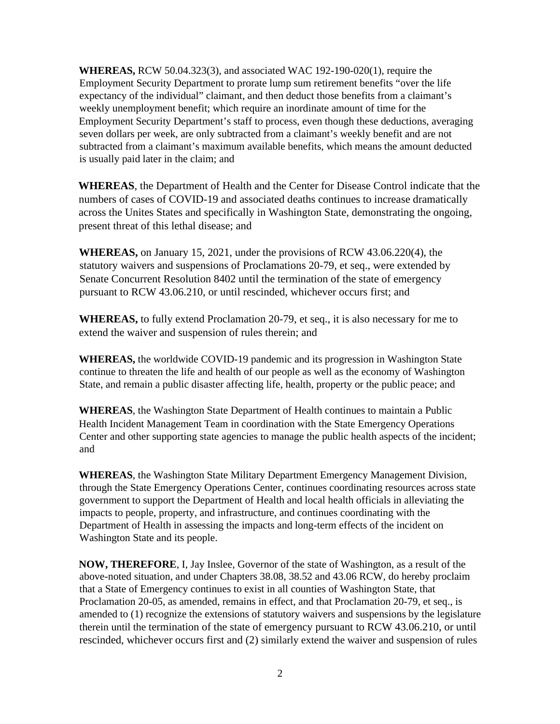**WHEREAS,** RCW 50.04.323(3), and associated WAC 192-190-020(1), require the Employment Security Department to prorate lump sum retirement benefits "over the life expectancy of the individual" claimant, and then deduct those benefits from a claimant's weekly unemployment benefit; which require an inordinate amount of time for the Employment Security Department's staff to process, even though these deductions, averaging seven dollars per week, are only subtracted from a claimant's weekly benefit and are not subtracted from a claimant's maximum available benefits, which means the amount deducted is usually paid later in the claim; and

**WHEREAS**, the Department of Health and the Center for Disease Control indicate that the numbers of cases of COVID-19 and associated deaths continues to increase dramatically across the Unites States and specifically in Washington State, demonstrating the ongoing, present threat of this lethal disease; and

**WHEREAS,** on January 15, 2021, under the provisions of RCW 43.06.220(4), the statutory waivers and suspensions of Proclamations 20-79, et seq., were extended by Senate Concurrent Resolution 8402 until the termination of the state of emergency pursuant to RCW 43.06.210, or until rescinded, whichever occurs first; and

**WHEREAS,** to fully extend Proclamation 20-79, et seq., it is also necessary for me to extend the waiver and suspension of rules therein; and

**WHEREAS,** the worldwide COVID-19 pandemic and its progression in Washington State continue to threaten the life and health of our people as well as the economy of Washington State, and remain a public disaster affecting life, health, property or the public peace; and

**WHEREAS**, the Washington State Department of Health continues to maintain a Public Health Incident Management Team in coordination with the State Emergency Operations Center and other supporting state agencies to manage the public health aspects of the incident; and

**WHEREAS**, the Washington State Military Department Emergency Management Division, through the State Emergency Operations Center, continues coordinating resources across state government to support the Department of Health and local health officials in alleviating the impacts to people, property, and infrastructure, and continues coordinating with the Department of Health in assessing the impacts and long-term effects of the incident on Washington State and its people.

**NOW, THEREFORE**, I, Jay Inslee, Governor of the state of Washington, as a result of the above-noted situation, and under Chapters 38.08, 38.52 and 43.06 RCW, do hereby proclaim that a State of Emergency continues to exist in all counties of Washington State, that Proclamation 20-05, as amended, remains in effect, and that Proclamation 20-79, et seq., is amended to (1) recognize the extensions of statutory waivers and suspensions by the legislature therein until the termination of the state of emergency pursuant to RCW 43.06.210, or until rescinded, whichever occurs first and (2) similarly extend the waiver and suspension of rules